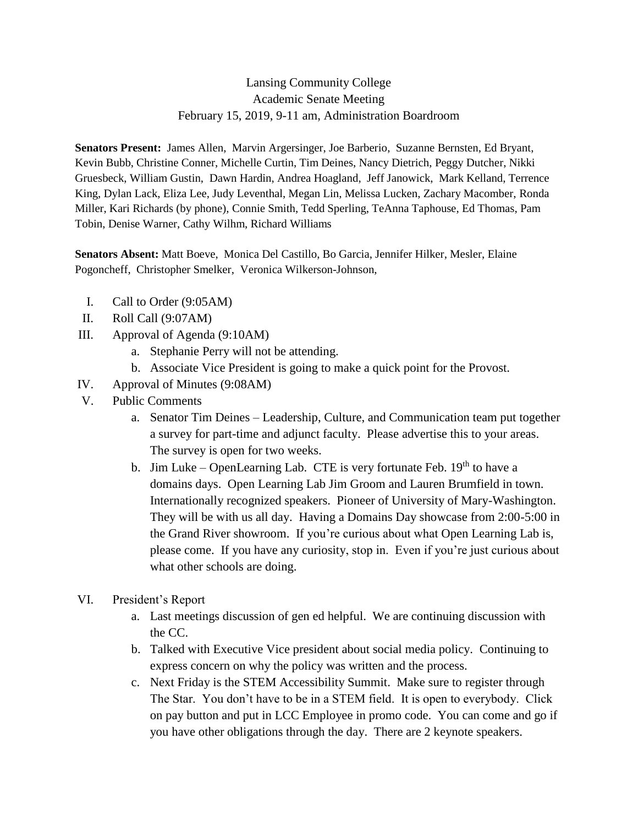## Lansing Community College Academic Senate Meeting February 15, 2019, 9-11 am, Administration Boardroom

**Senators Present:** James Allen, Marvin Argersinger, Joe Barberio, Suzanne Bernsten, Ed Bryant, Kevin Bubb, Christine Conner, Michelle Curtin, Tim Deines, Nancy Dietrich, Peggy Dutcher, Nikki Gruesbeck, William Gustin, Dawn Hardin, Andrea Hoagland, Jeff Janowick, Mark Kelland, Terrence King, Dylan Lack, Eliza Lee, Judy Leventhal, Megan Lin, Melissa Lucken, Zachary Macomber, Ronda Miller, Kari Richards (by phone), Connie Smith, Tedd Sperling, TeAnna Taphouse, Ed Thomas, Pam Tobin, Denise Warner, Cathy Wilhm, Richard Williams

**Senators Absent:** Matt Boeve, Monica Del Castillo, Bo Garcia, Jennifer Hilker, Mesler, Elaine Pogoncheff, Christopher Smelker, Veronica Wilkerson-Johnson,

- I. Call to Order (9:05AM)
- II. Roll Call (9:07AM)
- III. Approval of Agenda (9:10AM)
	- a. Stephanie Perry will not be attending.
	- b. Associate Vice President is going to make a quick point for the Provost.
- IV. Approval of Minutes (9:08AM)
- V. Public Comments
	- a. Senator Tim Deines Leadership, Culture, and Communication team put together a survey for part-time and adjunct faculty. Please advertise this to your areas. The survey is open for two weeks.
	- b. Jim Luke OpenLearning Lab. CTE is very fortunate Feb.  $19<sup>th</sup>$  to have a domains days. Open Learning Lab Jim Groom and Lauren Brumfield in town. Internationally recognized speakers. Pioneer of University of Mary-Washington. They will be with us all day. Having a Domains Day showcase from 2:00-5:00 in the Grand River showroom. If you're curious about what Open Learning Lab is, please come. If you have any curiosity, stop in. Even if you're just curious about what other schools are doing.
- VI. President's Report
	- a. Last meetings discussion of gen ed helpful. We are continuing discussion with the CC.
	- b. Talked with Executive Vice president about social media policy. Continuing to express concern on why the policy was written and the process.
	- c. Next Friday is the STEM Accessibility Summit. Make sure to register through The Star. You don't have to be in a STEM field. It is open to everybody. Click on pay button and put in LCC Employee in promo code. You can come and go if you have other obligations through the day. There are 2 keynote speakers.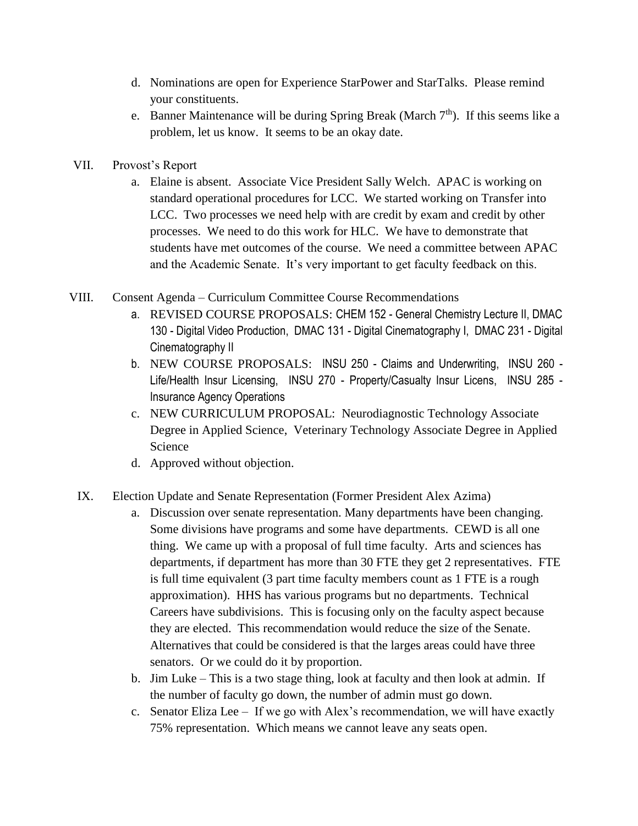- d. Nominations are open for Experience StarPower and StarTalks. Please remind your constituents.
- e. Banner Maintenance will be during Spring Break (March  $7<sup>th</sup>$ ). If this seems like a problem, let us know. It seems to be an okay date.
- VII. Provost's Report
	- a. Elaine is absent. Associate Vice President Sally Welch. APAC is working on standard operational procedures for LCC. We started working on Transfer into LCC. Two processes we need help with are credit by exam and credit by other processes. We need to do this work for HLC. We have to demonstrate that students have met outcomes of the course. We need a committee between APAC and the Academic Senate. It's very important to get faculty feedback on this.
- VIII. Consent Agenda Curriculum Committee Course Recommendations
	- a. REVISED COURSE PROPOSALS: CHEM 152 General Chemistry Lecture II, DMAC 130 - Digital Video Production, DMAC 131 - Digital Cinematography I, DMAC 231 - Digital Cinematography II
	- b. NEW COURSE PROPOSALS: INSU 250 Claims and Underwriting, INSU 260 Life/Health Insur Licensing, INSU 270 - Property/Casualty Insur Licens, INSU 285 - Insurance Agency Operations
	- c. NEW CURRICULUM PROPOSAL: Neurodiagnostic Technology Associate Degree in Applied Science, Veterinary Technology Associate Degree in Applied Science
	- d. Approved without objection.
	- IX. Election Update and Senate Representation (Former President Alex Azima)
		- a. Discussion over senate representation. Many departments have been changing. Some divisions have programs and some have departments. CEWD is all one thing. We came up with a proposal of full time faculty. Arts and sciences has departments, if department has more than 30 FTE they get 2 representatives. FTE is full time equivalent (3 part time faculty members count as 1 FTE is a rough approximation). HHS has various programs but no departments. Technical Careers have subdivisions. This is focusing only on the faculty aspect because they are elected. This recommendation would reduce the size of the Senate. Alternatives that could be considered is that the larges areas could have three senators. Or we could do it by proportion.
		- b. Jim Luke This is a two stage thing, look at faculty and then look at admin. If the number of faculty go down, the number of admin must go down.
		- c. Senator Eliza Lee If we go with Alex's recommendation, we will have exactly 75% representation. Which means we cannot leave any seats open.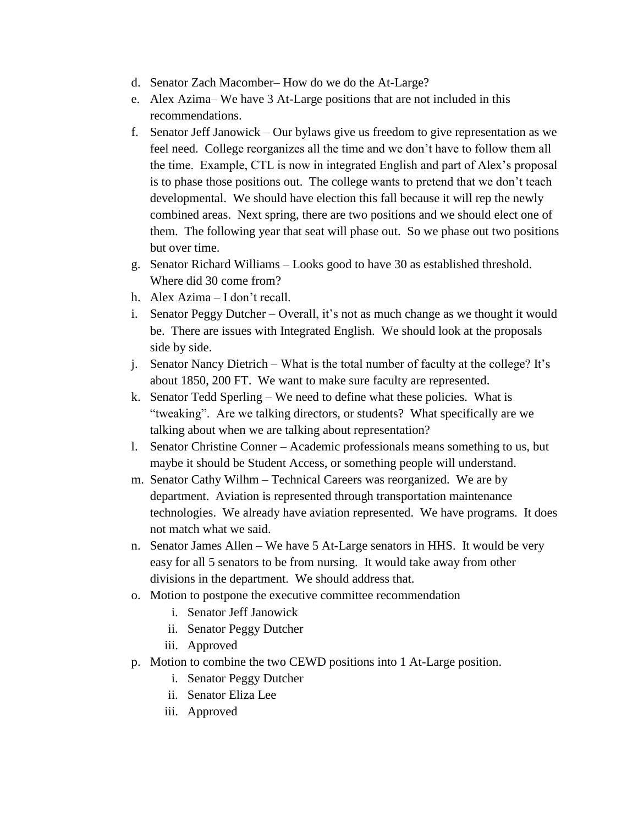- d. Senator Zach Macomber– How do we do the At-Large?
- e. Alex Azima– We have 3 At-Large positions that are not included in this recommendations.
- f. Senator Jeff Janowick Our bylaws give us freedom to give representation as we feel need. College reorganizes all the time and we don't have to follow them all the time. Example, CTL is now in integrated English and part of Alex's proposal is to phase those positions out. The college wants to pretend that we don't teach developmental. We should have election this fall because it will rep the newly combined areas. Next spring, there are two positions and we should elect one of them. The following year that seat will phase out. So we phase out two positions but over time.
- g. Senator Richard Williams Looks good to have 30 as established threshold. Where did 30 come from?
- h. Alex Azima I don't recall.
- i. Senator Peggy Dutcher Overall, it's not as much change as we thought it would be. There are issues with Integrated English. We should look at the proposals side by side.
- j. Senator Nancy Dietrich What is the total number of faculty at the college? It's about 1850, 200 FT. We want to make sure faculty are represented.
- k. Senator Tedd Sperling We need to define what these policies. What is "tweaking". Are we talking directors, or students? What specifically are we talking about when we are talking about representation?
- l. Senator Christine Conner Academic professionals means something to us, but maybe it should be Student Access, or something people will understand.
- m. Senator Cathy Wilhm Technical Careers was reorganized. We are by department. Aviation is represented through transportation maintenance technologies. We already have aviation represented. We have programs. It does not match what we said.
- n. Senator James Allen We have 5 At-Large senators in HHS. It would be very easy for all 5 senators to be from nursing. It would take away from other divisions in the department. We should address that.
- o. Motion to postpone the executive committee recommendation
	- i. Senator Jeff Janowick
	- ii. Senator Peggy Dutcher
	- iii. Approved
- p. Motion to combine the two CEWD positions into 1 At-Large position.
	- i. Senator Peggy Dutcher
	- ii. Senator Eliza Lee
	- iii. Approved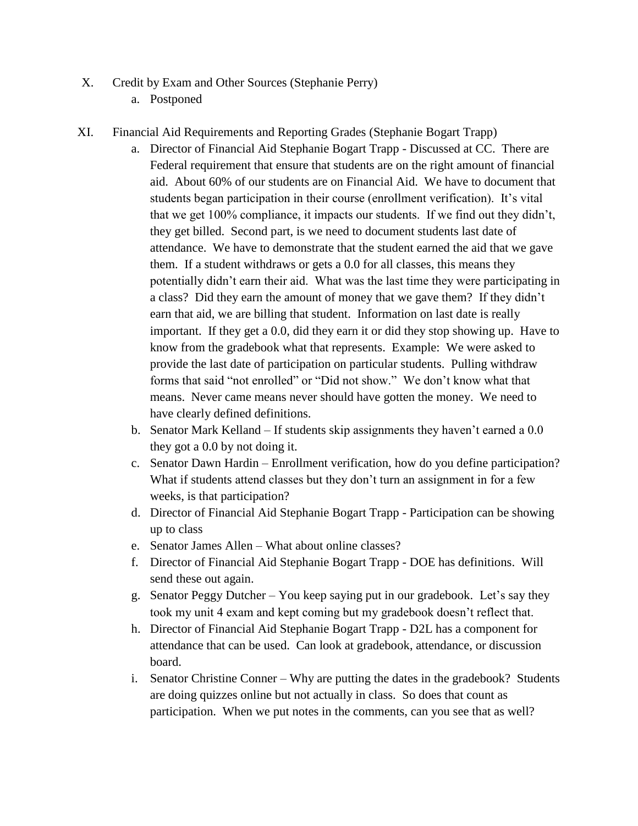- X. Credit by Exam and Other Sources (Stephanie Perry)
	- a. Postponed
- XI. Financial Aid Requirements and Reporting Grades (Stephanie Bogart Trapp)
	- a. Director of Financial Aid Stephanie Bogart Trapp Discussed at CC. There are Federal requirement that ensure that students are on the right amount of financial aid. About 60% of our students are on Financial Aid. We have to document that students began participation in their course (enrollment verification). It's vital that we get 100% compliance, it impacts our students. If we find out they didn't, they get billed. Second part, is we need to document students last date of attendance. We have to demonstrate that the student earned the aid that we gave them. If a student withdraws or gets a 0.0 for all classes, this means they potentially didn't earn their aid. What was the last time they were participating in a class? Did they earn the amount of money that we gave them? If they didn't earn that aid, we are billing that student. Information on last date is really important. If they get a 0.0, did they earn it or did they stop showing up. Have to know from the gradebook what that represents. Example: We were asked to provide the last date of participation on particular students. Pulling withdraw forms that said "not enrolled" or "Did not show." We don't know what that means. Never came means never should have gotten the money. We need to have clearly defined definitions.
	- b. Senator Mark Kelland If students skip assignments they haven't earned a 0.0 they got a 0.0 by not doing it.
	- c. Senator Dawn Hardin Enrollment verification, how do you define participation? What if students attend classes but they don't turn an assignment in for a few weeks, is that participation?
	- d. Director of Financial Aid Stephanie Bogart Trapp Participation can be showing up to class
	- e. Senator James Allen What about online classes?
	- f. Director of Financial Aid Stephanie Bogart Trapp DOE has definitions. Will send these out again.
	- g. Senator Peggy Dutcher You keep saying put in our gradebook. Let's say they took my unit 4 exam and kept coming but my gradebook doesn't reflect that.
	- h. Director of Financial Aid Stephanie Bogart Trapp D2L has a component for attendance that can be used. Can look at gradebook, attendance, or discussion board.
	- i. Senator Christine Conner Why are putting the dates in the gradebook? Students are doing quizzes online but not actually in class. So does that count as participation. When we put notes in the comments, can you see that as well?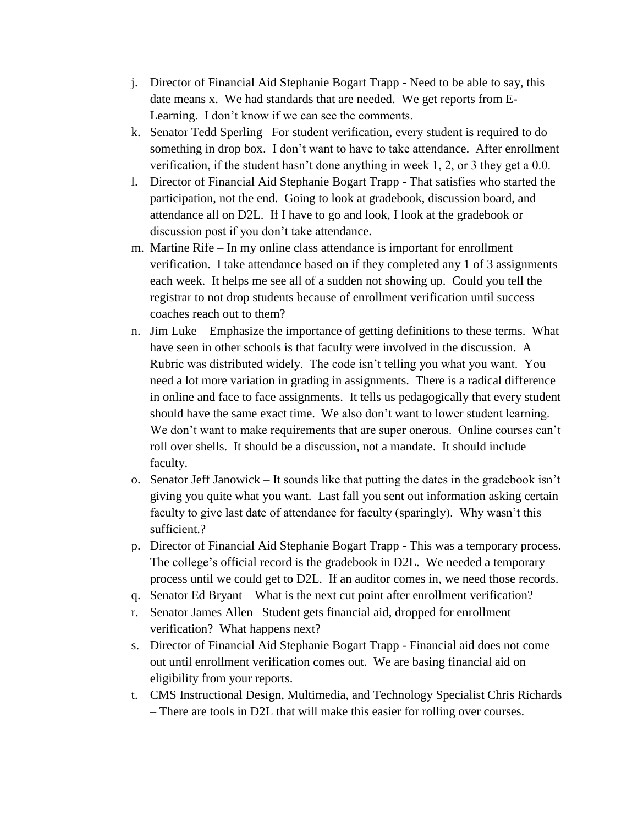- j. Director of Financial Aid Stephanie Bogart Trapp Need to be able to say, this date means x. We had standards that are needed. We get reports from E-Learning. I don't know if we can see the comments.
- k. Senator Tedd Sperling– For student verification, every student is required to do something in drop box. I don't want to have to take attendance. After enrollment verification, if the student hasn't done anything in week 1, 2, or 3 they get a 0.0.
- l. Director of Financial Aid Stephanie Bogart Trapp That satisfies who started the participation, not the end. Going to look at gradebook, discussion board, and attendance all on D2L. If I have to go and look, I look at the gradebook or discussion post if you don't take attendance.
- m. Martine Rife In my online class attendance is important for enrollment verification. I take attendance based on if they completed any 1 of 3 assignments each week. It helps me see all of a sudden not showing up. Could you tell the registrar to not drop students because of enrollment verification until success coaches reach out to them?
- n. Jim Luke Emphasize the importance of getting definitions to these terms. What have seen in other schools is that faculty were involved in the discussion. A Rubric was distributed widely. The code isn't telling you what you want. You need a lot more variation in grading in assignments. There is a radical difference in online and face to face assignments. It tells us pedagogically that every student should have the same exact time. We also don't want to lower student learning. We don't want to make requirements that are super onerous. Online courses can't roll over shells. It should be a discussion, not a mandate. It should include faculty.
- o. Senator Jeff Janowick It sounds like that putting the dates in the gradebook isn't giving you quite what you want. Last fall you sent out information asking certain faculty to give last date of attendance for faculty (sparingly). Why wasn't this sufficient.?
- p. Director of Financial Aid Stephanie Bogart Trapp This was a temporary process. The college's official record is the gradebook in D2L. We needed a temporary process until we could get to D2L. If an auditor comes in, we need those records.
- q. Senator Ed Bryant What is the next cut point after enrollment verification?
- r. Senator James Allen– Student gets financial aid, dropped for enrollment verification? What happens next?
- s. Director of Financial Aid Stephanie Bogart Trapp Financial aid does not come out until enrollment verification comes out. We are basing financial aid on eligibility from your reports.
- t. CMS Instructional Design, Multimedia, and Technology Specialist Chris Richards – There are tools in D2L that will make this easier for rolling over courses.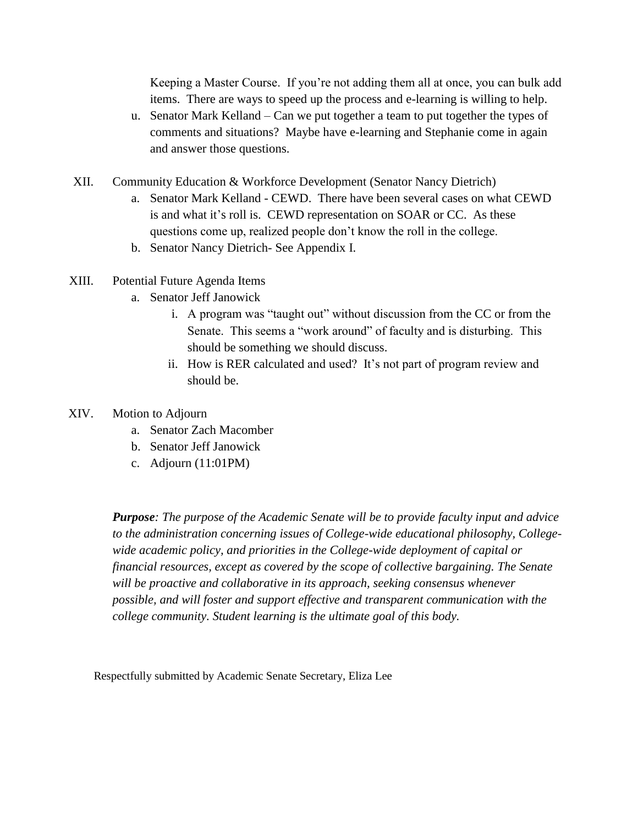Keeping a Master Course. If you're not adding them all at once, you can bulk add items. There are ways to speed up the process and e-learning is willing to help.

- u. Senator Mark Kelland Can we put together a team to put together the types of comments and situations? Maybe have e-learning and Stephanie come in again and answer those questions.
- XII. Community Education & Workforce Development (Senator Nancy Dietrich)
	- a. Senator Mark Kelland CEWD. There have been several cases on what CEWD is and what it's roll is. CEWD representation on SOAR or CC. As these questions come up, realized people don't know the roll in the college.
	- b. Senator Nancy Dietrich- See Appendix I.
- XIII. Potential Future Agenda Items
	- a. Senator Jeff Janowick
		- i. A program was "taught out" without discussion from the CC or from the Senate. This seems a "work around" of faculty and is disturbing. This should be something we should discuss.
		- ii. How is RER calculated and used? It's not part of program review and should be.

#### XIV. Motion to Adjourn

- a. Senator Zach Macomber
- b. Senator Jeff Janowick
- c. Adjourn (11:01PM)

*Purpose: The purpose of the Academic Senate will be to provide faculty input and advice to the administration concerning issues of College-wide educational philosophy, Collegewide academic policy, and priorities in the College-wide deployment of capital or financial resources, except as covered by the scope of collective bargaining. The Senate will be proactive and collaborative in its approach, seeking consensus whenever possible, and will foster and support effective and transparent communication with the college community. Student learning is the ultimate goal of this body.*

Respectfully submitted by Academic Senate Secretary, Eliza Lee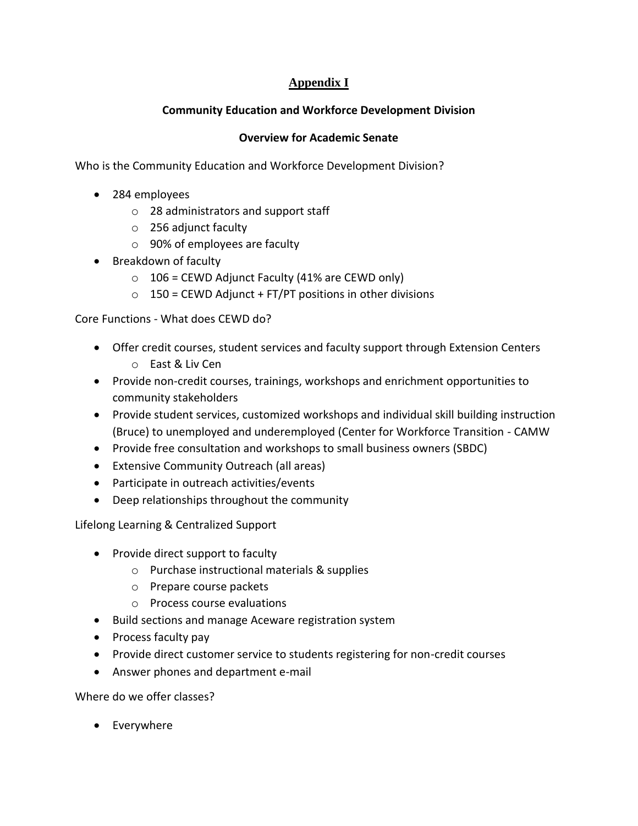# **Appendix I**

## **Community Education and Workforce Development Division**

## **Overview for Academic Senate**

Who is the Community Education and Workforce Development Division?

- 284 employees
	- o 28 administrators and support staff
	- o 256 adjunct faculty
	- o 90% of employees are faculty
- Breakdown of faculty
	- $\circ$  106 = CEWD Adjunct Faculty (41% are CEWD only)
	- $\circ$  150 = CEWD Adjunct + FT/PT positions in other divisions

Core Functions - What does CEWD do?

- Offer credit courses, student services and faculty support through Extension Centers o East & Liv Cen
- Provide non-credit courses, trainings, workshops and enrichment opportunities to community stakeholders
- Provide student services, customized workshops and individual skill building instruction (Bruce) to unemployed and underemployed (Center for Workforce Transition - CAMW
- Provide free consultation and workshops to small business owners (SBDC)
- Extensive Community Outreach (all areas)
- Participate in outreach activities/events
- Deep relationships throughout the community

Lifelong Learning & Centralized Support

- Provide direct support to faculty
	- o Purchase instructional materials & supplies
	- o Prepare course packets
	- o Process course evaluations
- Build sections and manage Aceware registration system
- Process faculty pay
- Provide direct customer service to students registering for non-credit courses
- Answer phones and department e-mail

Where do we offer classes?

• Everywhere